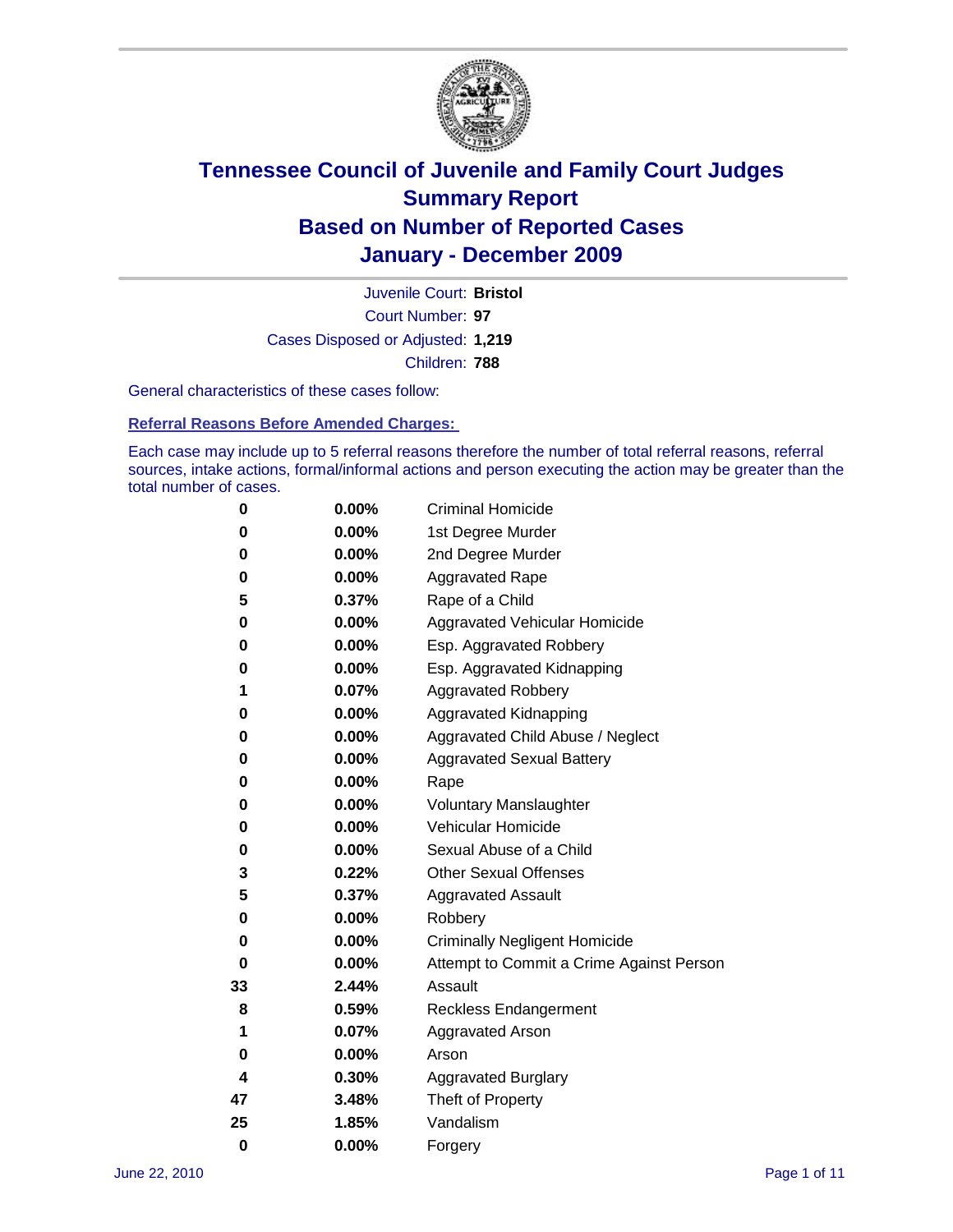

Court Number: **97** Juvenile Court: **Bristol** Cases Disposed or Adjusted: **1,219** Children: **788**

General characteristics of these cases follow:

**Referral Reasons Before Amended Charges:** 

Each case may include up to 5 referral reasons therefore the number of total referral reasons, referral sources, intake actions, formal/informal actions and person executing the action may be greater than the total number of cases.

| 0  | 0.00% | <b>Criminal Homicide</b>                 |
|----|-------|------------------------------------------|
| 0  | 0.00% | 1st Degree Murder                        |
| 0  | 0.00% | 2nd Degree Murder                        |
| 0  | 0.00% | <b>Aggravated Rape</b>                   |
| 5  | 0.37% | Rape of a Child                          |
| 0  | 0.00% | Aggravated Vehicular Homicide            |
| 0  | 0.00% | Esp. Aggravated Robbery                  |
| 0  | 0.00% | Esp. Aggravated Kidnapping               |
| 1  | 0.07% | Aggravated Robbery                       |
| 0  | 0.00% | Aggravated Kidnapping                    |
| 0  | 0.00% | Aggravated Child Abuse / Neglect         |
| 0  | 0.00% | <b>Aggravated Sexual Battery</b>         |
| 0  | 0.00% | Rape                                     |
| 0  | 0.00% | <b>Voluntary Manslaughter</b>            |
| 0  | 0.00% | Vehicular Homicide                       |
| 0  | 0.00% | Sexual Abuse of a Child                  |
| 3  | 0.22% | <b>Other Sexual Offenses</b>             |
| 5  | 0.37% | <b>Aggravated Assault</b>                |
| 0  | 0.00% | Robbery                                  |
| 0  | 0.00% | <b>Criminally Negligent Homicide</b>     |
| 0  | 0.00% | Attempt to Commit a Crime Against Person |
| 33 | 2.44% | Assault                                  |
| 8  | 0.59% | <b>Reckless Endangerment</b>             |
| 1  | 0.07% | <b>Aggravated Arson</b>                  |
| 0  | 0.00% | Arson                                    |
| 4  | 0.30% | <b>Aggravated Burglary</b>               |
| 47 | 3.48% | Theft of Property                        |
| 25 | 1.85% | Vandalism                                |
| 0  | 0.00% | Forgery                                  |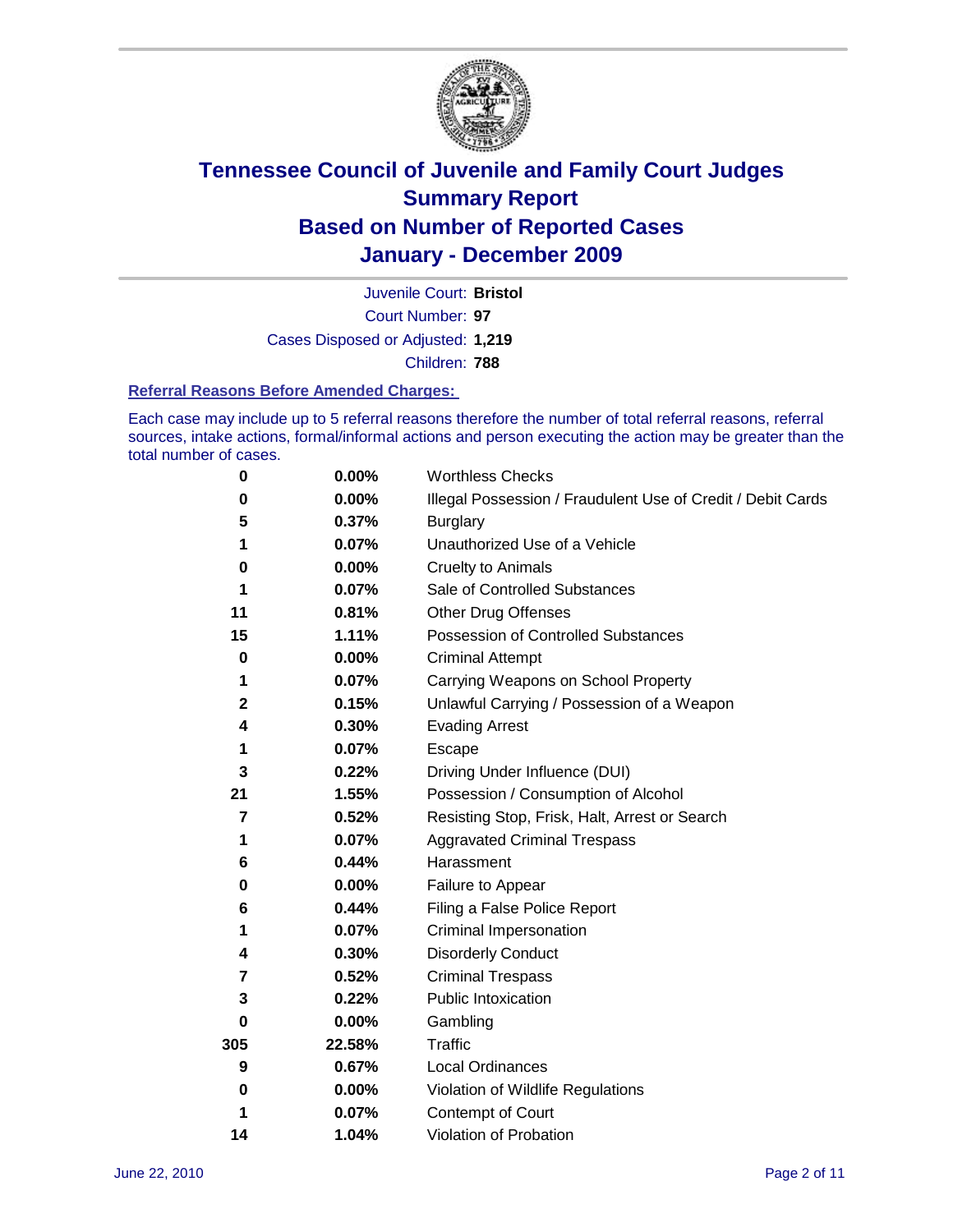

Court Number: **97** Juvenile Court: **Bristol** Cases Disposed or Adjusted: **1,219** Children: **788**

#### **Referral Reasons Before Amended Charges:**

Each case may include up to 5 referral reasons therefore the number of total referral reasons, referral sources, intake actions, formal/informal actions and person executing the action may be greater than the total number of cases.

| $\pmb{0}$   | 0.00%    | <b>Worthless Checks</b>                                     |
|-------------|----------|-------------------------------------------------------------|
| 0           | 0.00%    | Illegal Possession / Fraudulent Use of Credit / Debit Cards |
| 5           | 0.37%    | <b>Burglary</b>                                             |
| 1           | 0.07%    | Unauthorized Use of a Vehicle                               |
| 0           | $0.00\%$ | <b>Cruelty to Animals</b>                                   |
| 1           | 0.07%    | Sale of Controlled Substances                               |
| 11          | 0.81%    | <b>Other Drug Offenses</b>                                  |
| 15          | 1.11%    | Possession of Controlled Substances                         |
| $\mathbf 0$ | $0.00\%$ | <b>Criminal Attempt</b>                                     |
| 1           | 0.07%    | Carrying Weapons on School Property                         |
| $\mathbf 2$ | 0.15%    | Unlawful Carrying / Possession of a Weapon                  |
| 4           | 0.30%    | <b>Evading Arrest</b>                                       |
| 1           | 0.07%    | Escape                                                      |
| 3           | 0.22%    | Driving Under Influence (DUI)                               |
| 21          | 1.55%    | Possession / Consumption of Alcohol                         |
| 7           | 0.52%    | Resisting Stop, Frisk, Halt, Arrest or Search               |
| 1           | 0.07%    | <b>Aggravated Criminal Trespass</b>                         |
| 6           | 0.44%    | Harassment                                                  |
| 0           | 0.00%    | Failure to Appear                                           |
| 6           | 0.44%    | Filing a False Police Report                                |
| 1           | 0.07%    | Criminal Impersonation                                      |
| 4           | 0.30%    | <b>Disorderly Conduct</b>                                   |
| 7           | 0.52%    | <b>Criminal Trespass</b>                                    |
| 3           | 0.22%    | Public Intoxication                                         |
| 0           | $0.00\%$ | Gambling                                                    |
| 305         | 22.58%   | <b>Traffic</b>                                              |
| 9           | 0.67%    | Local Ordinances                                            |
| 0           | 0.00%    | Violation of Wildlife Regulations                           |
| 1           | 0.07%    | Contempt of Court                                           |
| 14          | 1.04%    | Violation of Probation                                      |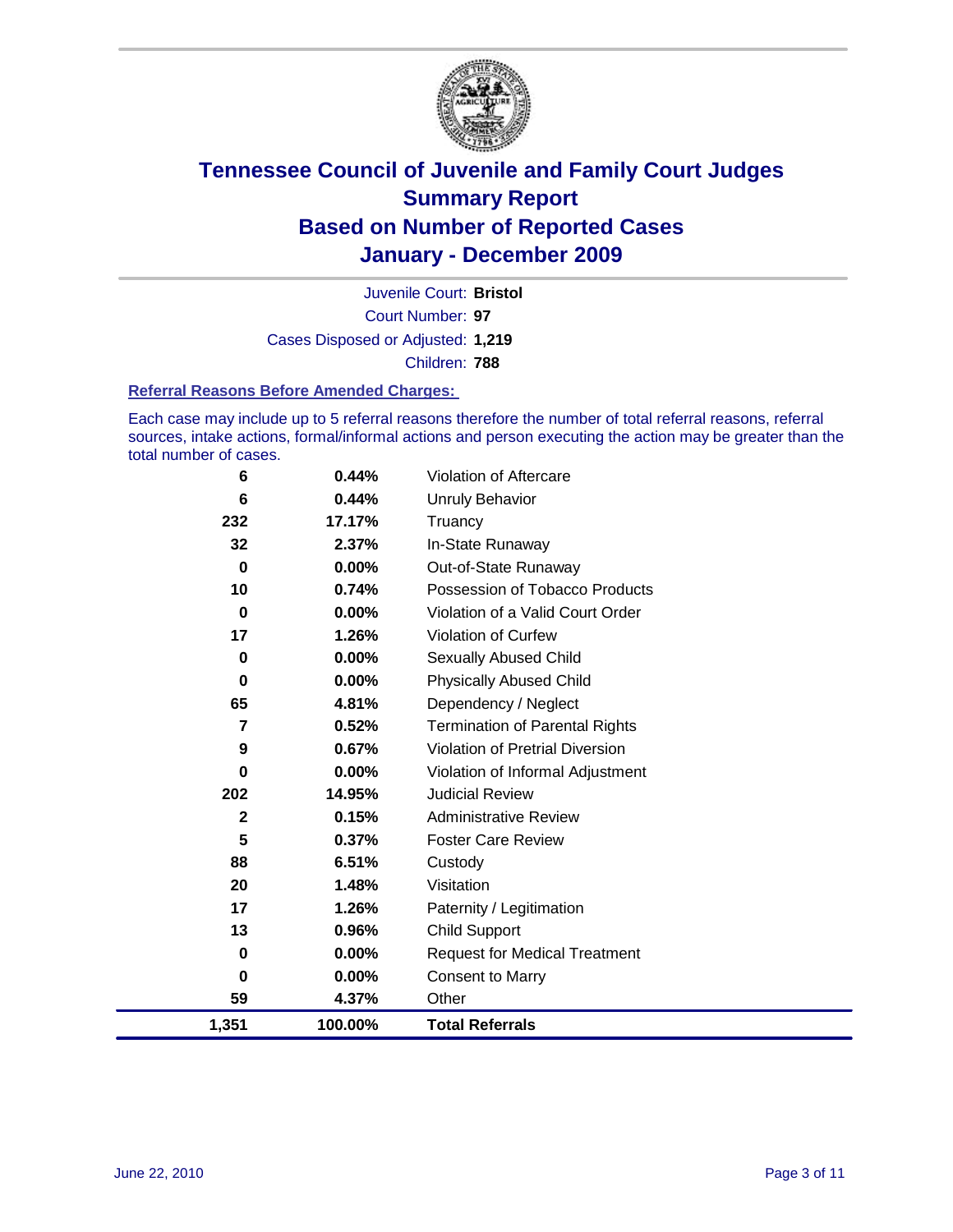

Court Number: **97** Juvenile Court: **Bristol** Cases Disposed or Adjusted: **1,219** Children: **788**

#### **Referral Reasons Before Amended Charges:**

Each case may include up to 5 referral reasons therefore the number of total referral reasons, referral sources, intake actions, formal/informal actions and person executing the action may be greater than the total number of cases.

| 6            | 0.44%    | Violation of Aftercare                 |
|--------------|----------|----------------------------------------|
| 6            | 0.44%    | Unruly Behavior                        |
| 232          | 17.17%   | Truancy                                |
| 32           | 2.37%    | In-State Runaway                       |
| $\bf{0}$     | $0.00\%$ | Out-of-State Runaway                   |
| 10           | 0.74%    | Possession of Tobacco Products         |
| $\bf{0}$     | $0.00\%$ | Violation of a Valid Court Order       |
| 17           | 1.26%    | Violation of Curfew                    |
| 0            | $0.00\%$ | Sexually Abused Child                  |
| $\bf{0}$     | 0.00%    | <b>Physically Abused Child</b>         |
| 65           | 4.81%    | Dependency / Neglect                   |
| 7            | 0.52%    | <b>Termination of Parental Rights</b>  |
| 9            | 0.67%    | <b>Violation of Pretrial Diversion</b> |
| 0            | 0.00%    | Violation of Informal Adjustment       |
| 202          | 14.95%   | <b>Judicial Review</b>                 |
| $\mathbf{2}$ | 0.15%    | <b>Administrative Review</b>           |
| 5            | 0.37%    | <b>Foster Care Review</b>              |
| 88           | 6.51%    | Custody                                |
| 20           | 1.48%    | Visitation                             |
| 17           | 1.26%    | Paternity / Legitimation               |
| 13           | 0.96%    | <b>Child Support</b>                   |
| 0            | 0.00%    | <b>Request for Medical Treatment</b>   |
| 0            | 0.00%    | <b>Consent to Marry</b>                |
| 59           | 4.37%    | Other                                  |
| 1,351        | 100.00%  | <b>Total Referrals</b>                 |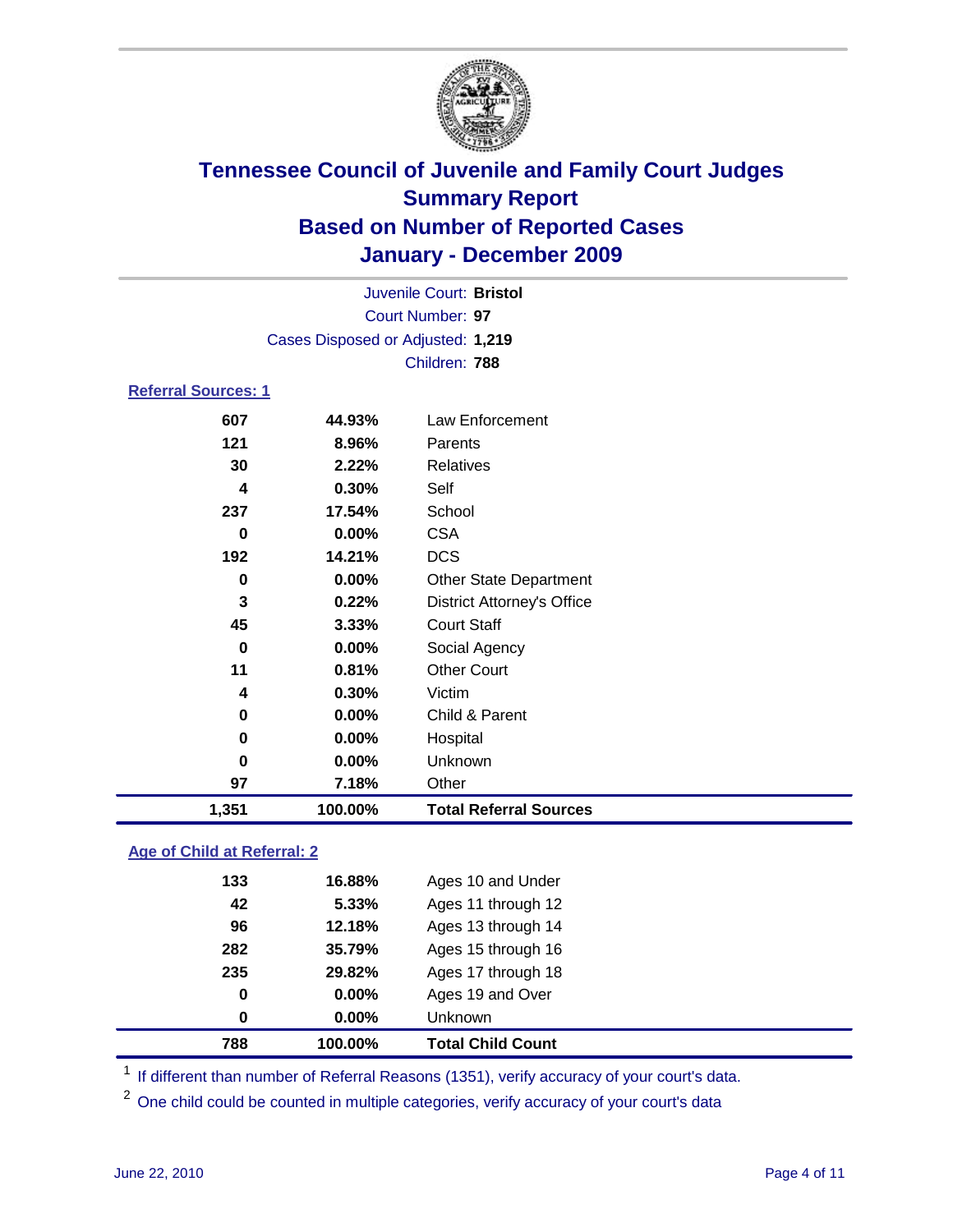

|          | Juvenile Court: Bristol           |                                   |  |  |  |
|----------|-----------------------------------|-----------------------------------|--|--|--|
|          |                                   | Court Number: 97                  |  |  |  |
|          | Cases Disposed or Adjusted: 1,219 |                                   |  |  |  |
|          |                                   | Children: 788                     |  |  |  |
|          | <b>Referral Sources: 1</b>        |                                   |  |  |  |
| 607      | 44.93%                            | Law Enforcement                   |  |  |  |
| 121      | 8.96%                             | Parents                           |  |  |  |
| 30       | 2.22%                             | <b>Relatives</b>                  |  |  |  |
| 4        | 0.30%                             | Self                              |  |  |  |
| 237      | 17.54%                            | School                            |  |  |  |
| 0        | 0.00%                             | <b>CSA</b>                        |  |  |  |
| 192      | 14.21%                            | <b>DCS</b>                        |  |  |  |
| 0        | 0.00%                             | <b>Other State Department</b>     |  |  |  |
| 3        | 0.22%                             | <b>District Attorney's Office</b> |  |  |  |
| 45       | 3.33%                             | <b>Court Staff</b>                |  |  |  |
| $\bf{0}$ | 0.00%                             | Social Agency                     |  |  |  |
| 11       | 0.81%                             | <b>Other Court</b>                |  |  |  |
| 4        | 0.30%                             | Victim                            |  |  |  |
| 0        | 0.00%                             | Child & Parent                    |  |  |  |
| 0        | $0.00\%$                          | Hospital                          |  |  |  |
| 0        | 0.00%                             | Unknown                           |  |  |  |
| 97       | 7.18%                             | Other                             |  |  |  |
| 1,351    | 100.00%                           | <b>Total Referral Sources</b>     |  |  |  |

### **Age of Child at Referral: 2**

| 0<br>0 | $0.00\%$<br>$0.00\%$ | Ages 19 and Over<br><b>Unknown</b> |  |
|--------|----------------------|------------------------------------|--|
|        |                      |                                    |  |
|        |                      |                                    |  |
|        |                      | Ages 17 through 18                 |  |
| 282    | 35.79%               | Ages 15 through 16                 |  |
| 96     | 12.18%               | Ages 13 through 14                 |  |
| 42     | 5.33%                | Ages 11 through 12                 |  |
| 133    | 16.88%               | Ages 10 and Under                  |  |
|        |                      | 235<br>29.82%                      |  |

<sup>1</sup> If different than number of Referral Reasons (1351), verify accuracy of your court's data.

<sup>2</sup> One child could be counted in multiple categories, verify accuracy of your court's data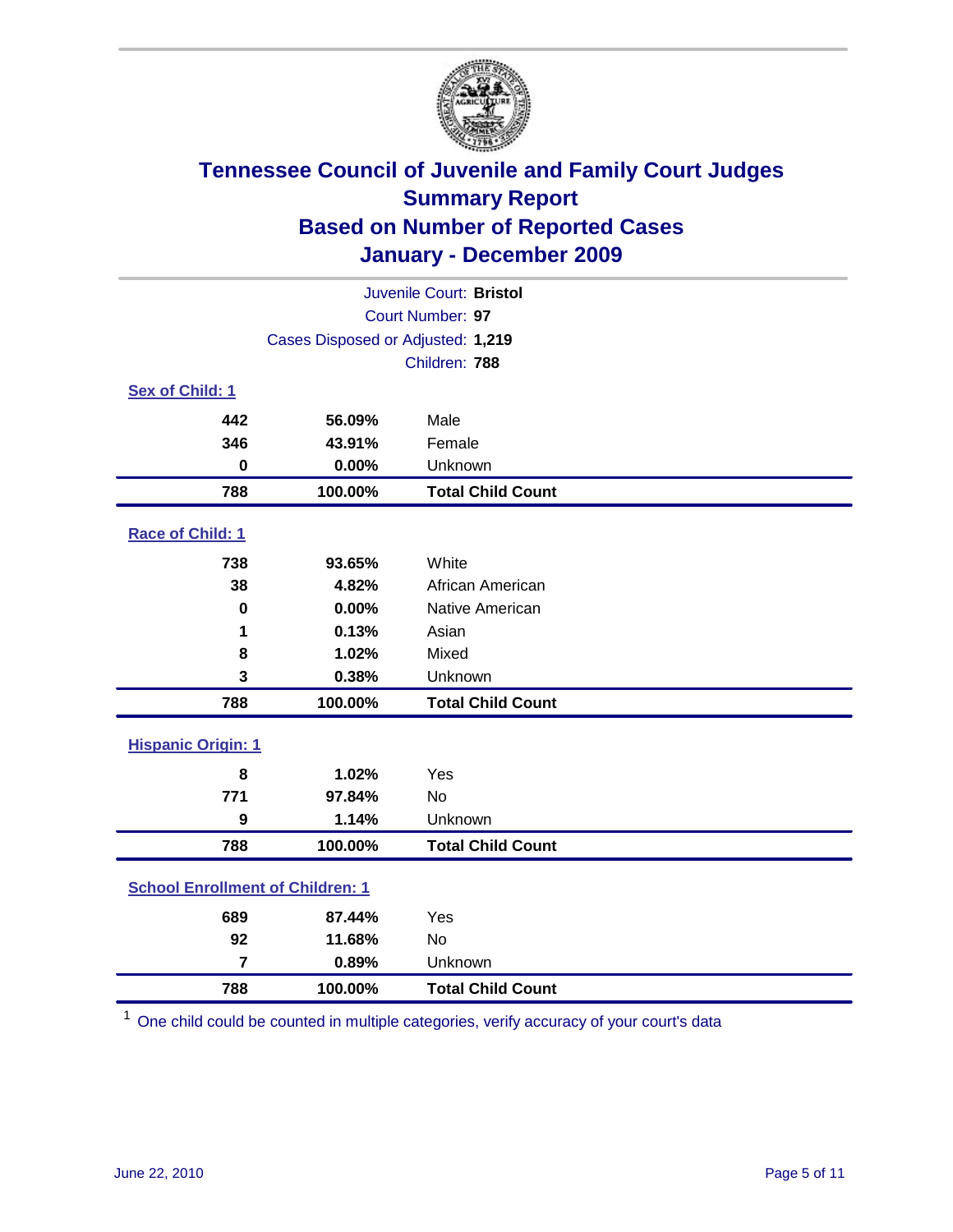

| Juvenile Court: Bristol                 |                                   |                          |  |  |  |
|-----------------------------------------|-----------------------------------|--------------------------|--|--|--|
|                                         | Court Number: 97                  |                          |  |  |  |
|                                         | Cases Disposed or Adjusted: 1,219 |                          |  |  |  |
|                                         | Children: 788                     |                          |  |  |  |
| Sex of Child: 1                         |                                   |                          |  |  |  |
| 442                                     | 56.09%                            | Male                     |  |  |  |
| 346                                     | 43.91%                            | Female                   |  |  |  |
| $\bf{0}$                                | 0.00%                             | Unknown                  |  |  |  |
| 788                                     | 100.00%                           | <b>Total Child Count</b> |  |  |  |
| Race of Child: 1                        |                                   |                          |  |  |  |
| 738                                     | 93.65%                            | White                    |  |  |  |
| 38                                      | 4.82%                             | African American         |  |  |  |
| $\pmb{0}$                               | 0.00%                             | Native American          |  |  |  |
| 1                                       | 0.13%                             | Asian                    |  |  |  |
| 8                                       | 1.02%                             | Mixed                    |  |  |  |
| 3                                       | 0.38%                             | Unknown                  |  |  |  |
| 788                                     | 100.00%                           | <b>Total Child Count</b> |  |  |  |
| <b>Hispanic Origin: 1</b>               |                                   |                          |  |  |  |
| 8                                       | 1.02%                             | Yes                      |  |  |  |
| 771                                     | 97.84%                            | <b>No</b>                |  |  |  |
| $\boldsymbol{9}$                        | 1.14%                             | Unknown                  |  |  |  |
| 788                                     | 100.00%                           | <b>Total Child Count</b> |  |  |  |
| <b>School Enrollment of Children: 1</b> |                                   |                          |  |  |  |
| 689                                     | 87.44%                            | Yes                      |  |  |  |
| 92                                      | 11.68%                            | No                       |  |  |  |
| $\overline{7}$                          | 0.89%                             | Unknown                  |  |  |  |
| 788                                     | 100.00%                           | <b>Total Child Count</b> |  |  |  |

One child could be counted in multiple categories, verify accuracy of your court's data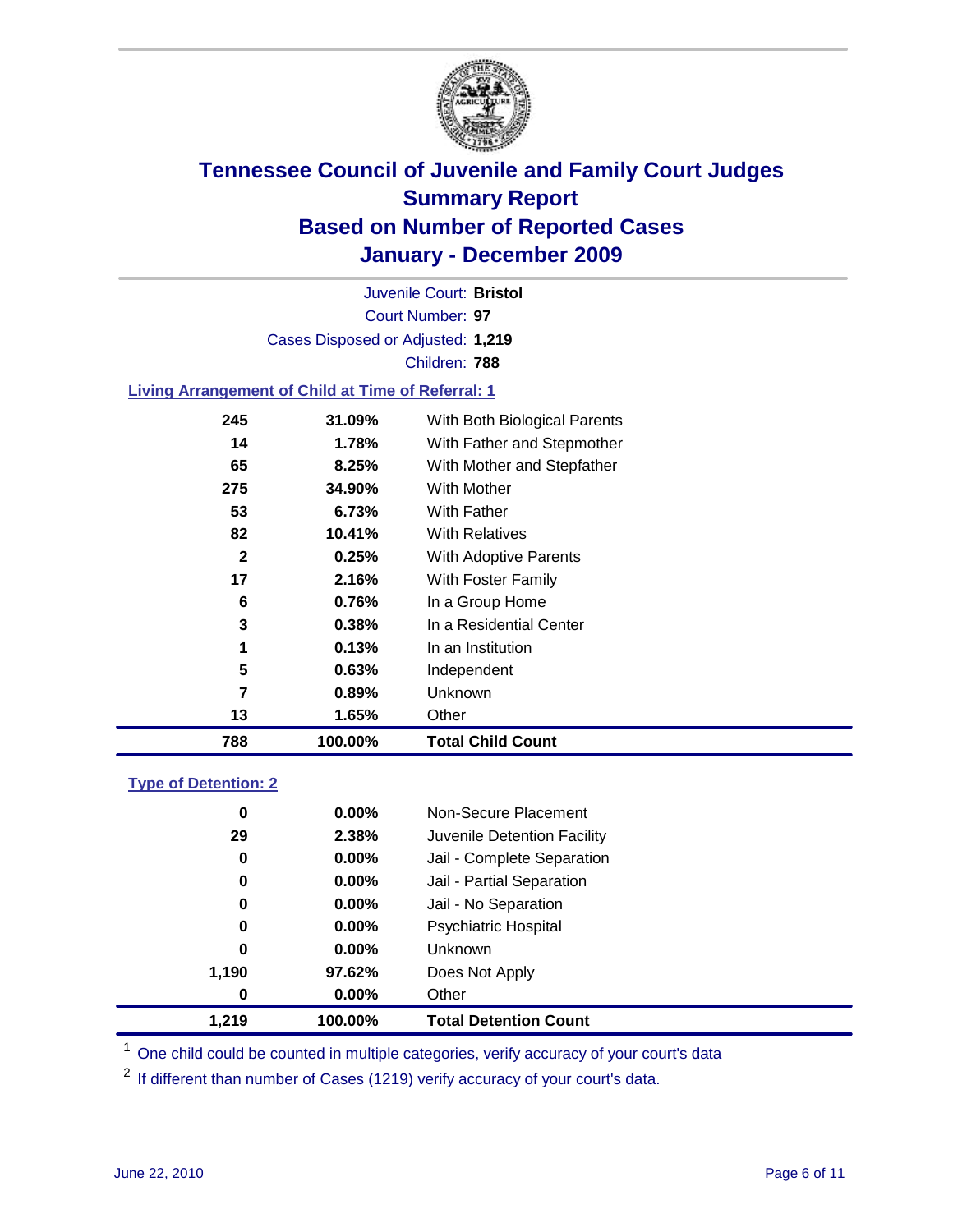

Court Number: **97** Juvenile Court: **Bristol** Cases Disposed or Adjusted: **1,219** Children: **788**

#### **Living Arrangement of Child at Time of Referral: 1**

| 788          | 100.00% | <b>Total Child Count</b>     |
|--------------|---------|------------------------------|
| 13           | 1.65%   | Other                        |
| 7            | 0.89%   | Unknown                      |
| 5            | 0.63%   | Independent                  |
| 1            | 0.13%   | In an Institution            |
| 3            | 0.38%   | In a Residential Center      |
| 6            | 0.76%   | In a Group Home              |
| 17           | 2.16%   | With Foster Family           |
| $\mathbf{2}$ | 0.25%   | With Adoptive Parents        |
| 82           | 10.41%  | <b>With Relatives</b>        |
| 53           | 6.73%   | With Father                  |
| 275          | 34.90%  | With Mother                  |
| 65           | 8.25%   | With Mother and Stepfather   |
| 14           | 1.78%   | With Father and Stepmother   |
| 245          | 31.09%  | With Both Biological Parents |
|              |         |                              |

#### **Type of Detention: 2**

| 1.219            | 100.00%  | <b>Total Detention Count</b> |
|------------------|----------|------------------------------|
| $\boldsymbol{0}$ | $0.00\%$ | Other                        |
| 1,190            | 97.62%   | Does Not Apply               |
| 0                | 0.00%    | Unknown                      |
| 0                | $0.00\%$ | <b>Psychiatric Hospital</b>  |
| 0                | 0.00%    | Jail - No Separation         |
| 0                | $0.00\%$ | Jail - Partial Separation    |
| 0                | 0.00%    | Jail - Complete Separation   |
| 29               | 2.38%    | Juvenile Detention Facility  |
| 0                | $0.00\%$ | Non-Secure Placement         |
|                  |          |                              |

<sup>1</sup> One child could be counted in multiple categories, verify accuracy of your court's data

<sup>2</sup> If different than number of Cases (1219) verify accuracy of your court's data.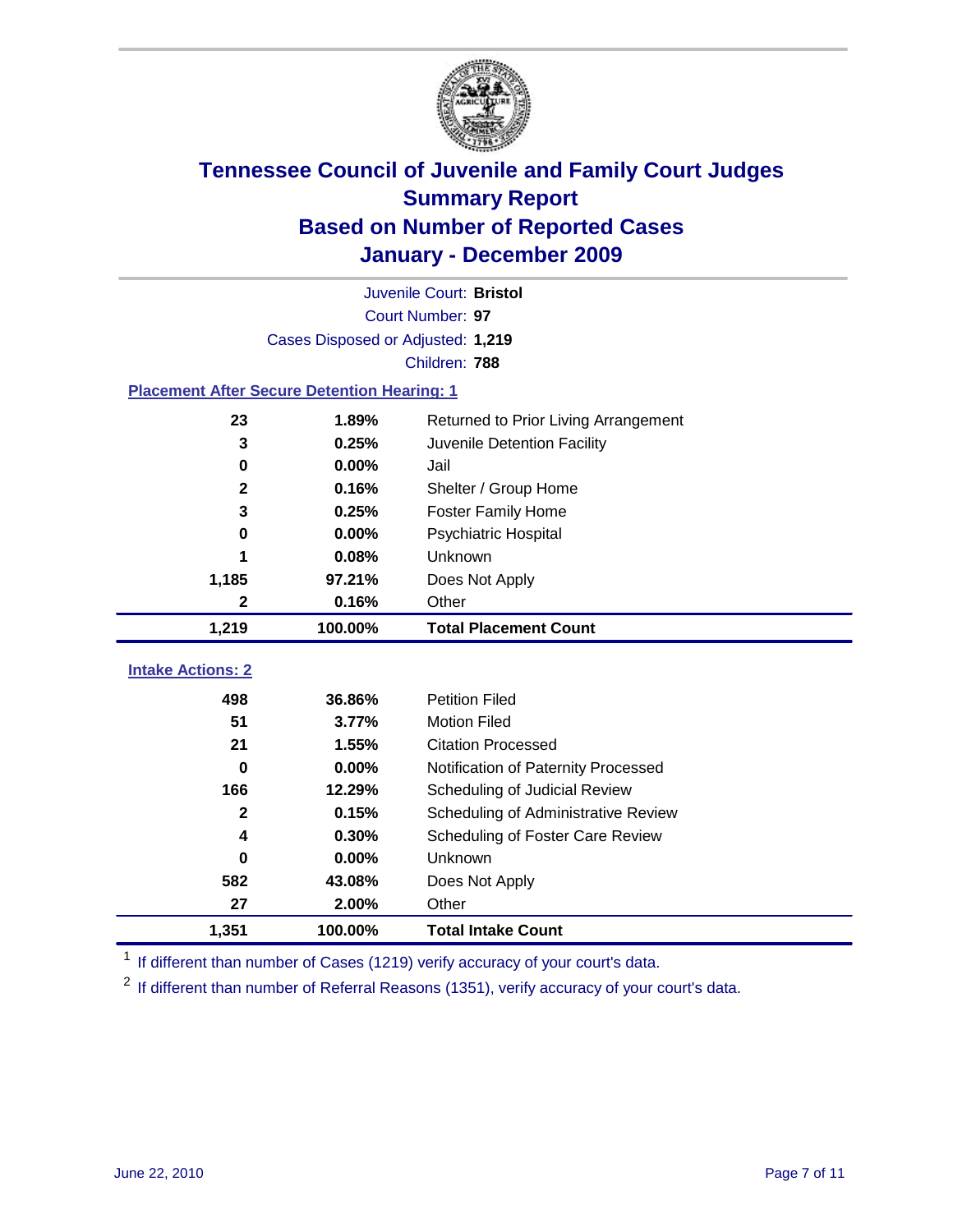

|                                                    | Juvenile Court: Bristol           |                                      |  |  |  |  |
|----------------------------------------------------|-----------------------------------|--------------------------------------|--|--|--|--|
|                                                    | Court Number: 97                  |                                      |  |  |  |  |
|                                                    | Cases Disposed or Adjusted: 1,219 |                                      |  |  |  |  |
|                                                    | Children: 788                     |                                      |  |  |  |  |
| <b>Placement After Secure Detention Hearing: 1</b> |                                   |                                      |  |  |  |  |
| 23                                                 | 1.89%                             | Returned to Prior Living Arrangement |  |  |  |  |
| 3                                                  | 0.25%                             | Juvenile Detention Facility          |  |  |  |  |
| 0                                                  | 0.00%                             | Jail                                 |  |  |  |  |
| $\mathbf{2}$                                       | 0.16%                             | Shelter / Group Home                 |  |  |  |  |
| 3                                                  | 0.25%                             | <b>Foster Family Home</b>            |  |  |  |  |
| 0                                                  | 0.00%                             | <b>Psychiatric Hospital</b>          |  |  |  |  |
|                                                    | 0.08%                             | <b>Unknown</b>                       |  |  |  |  |
| 1,185                                              | 97.21%                            | Does Not Apply                       |  |  |  |  |
| $\mathbf 2$                                        | 0.16%                             | Other                                |  |  |  |  |
| 1,219                                              | 100.00%                           | <b>Total Placement Count</b>         |  |  |  |  |
|                                                    |                                   |                                      |  |  |  |  |
| <b>Intake Actions: 2</b>                           |                                   |                                      |  |  |  |  |
| 498                                                | 36.86%                            | <b>Petition Filed</b>                |  |  |  |  |
| 51                                                 | 3.77%                             | <b>Motion Filed</b>                  |  |  |  |  |
| 21                                                 | 1.55%                             | <b>Citation Processed</b>            |  |  |  |  |
| $\bf{0}$                                           | 0.00%                             | Notification of Paternity Processed  |  |  |  |  |
| 166                                                | 12.29%                            | Scheduling of Judicial Review        |  |  |  |  |
| $\mathbf{2}$                                       | 0.15%                             | Scheduling of Administrative Review  |  |  |  |  |
| 4                                                  | 0.30%                             | Scheduling of Foster Care Review     |  |  |  |  |
| $\bf{0}$                                           | 0.00%                             | Unknown                              |  |  |  |  |
| 582                                                | 43.08%                            | Does Not Apply                       |  |  |  |  |
| 27                                                 | 2.00%                             | Other                                |  |  |  |  |
| 1,351                                              | 100.00%                           | <b>Total Intake Count</b>            |  |  |  |  |

<sup>1</sup> If different than number of Cases (1219) verify accuracy of your court's data.

<sup>2</sup> If different than number of Referral Reasons (1351), verify accuracy of your court's data.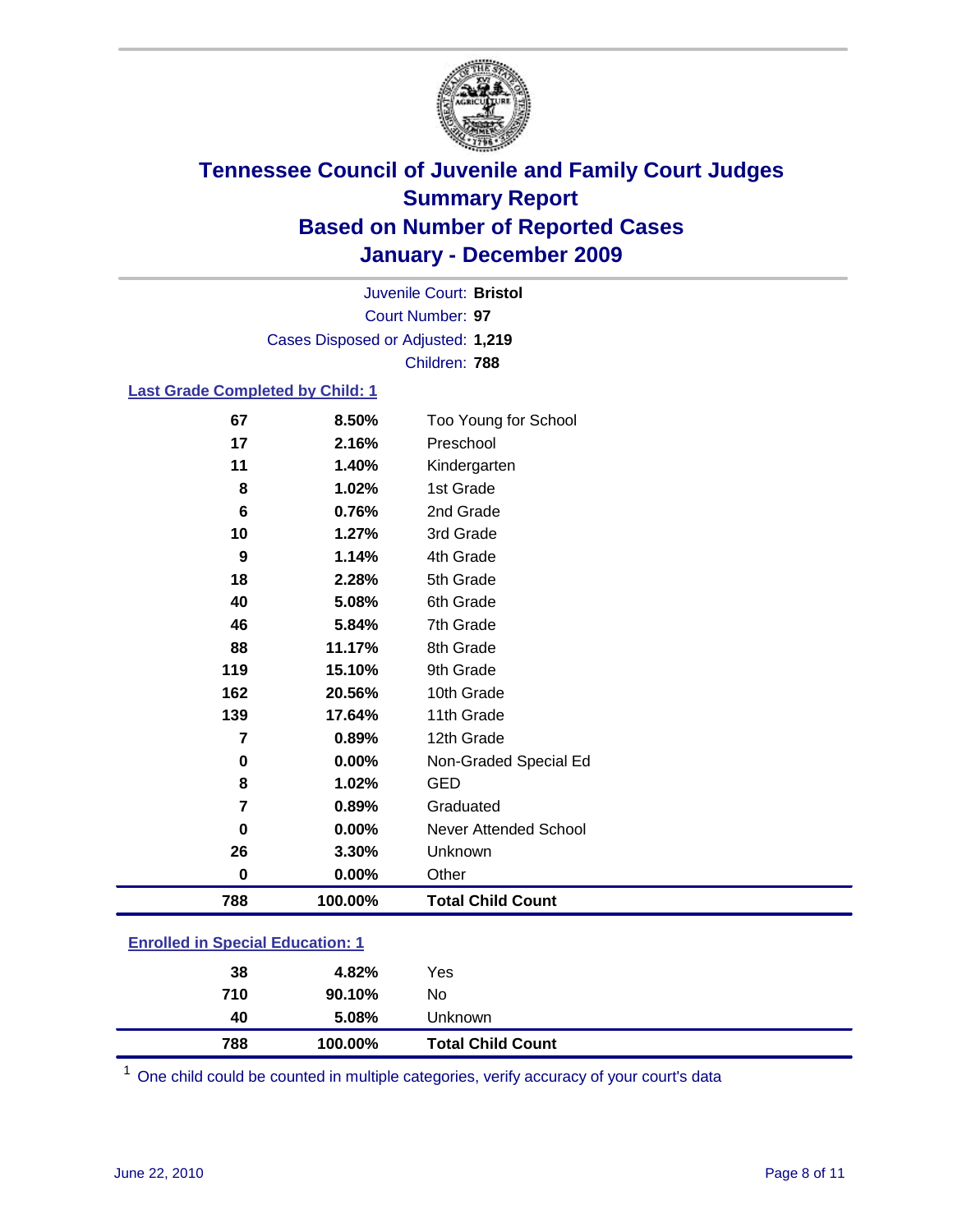

Court Number: **97** Juvenile Court: **Bristol** Cases Disposed or Adjusted: **1,219** Children: **788**

#### **Last Grade Completed by Child: 1**

| 119<br>162<br>139<br>7<br>0<br>8<br>7<br>0<br>26<br>0 | 15.10%<br>20.56%<br>17.64%<br>0.89%<br>0.00%<br>1.02%<br>0.89%<br>0.00%<br>3.30%<br>0.00% | 9th Grade<br>10th Grade<br>11th Grade<br>12th Grade<br>Non-Graded Special Ed<br><b>GED</b><br>Graduated<br><b>Never Attended School</b><br>Unknown<br>Other |
|-------------------------------------------------------|-------------------------------------------------------------------------------------------|-------------------------------------------------------------------------------------------------------------------------------------------------------------|
|                                                       |                                                                                           |                                                                                                                                                             |
|                                                       |                                                                                           |                                                                                                                                                             |
|                                                       |                                                                                           |                                                                                                                                                             |
|                                                       |                                                                                           |                                                                                                                                                             |
|                                                       |                                                                                           |                                                                                                                                                             |
|                                                       |                                                                                           |                                                                                                                                                             |
|                                                       |                                                                                           |                                                                                                                                                             |
|                                                       |                                                                                           |                                                                                                                                                             |
|                                                       |                                                                                           |                                                                                                                                                             |
|                                                       |                                                                                           |                                                                                                                                                             |
| 88                                                    | 11.17%                                                                                    | 8th Grade                                                                                                                                                   |
| 46                                                    | 5.84%                                                                                     | 7th Grade                                                                                                                                                   |
| 40                                                    | 5.08%                                                                                     | 6th Grade                                                                                                                                                   |
| 18                                                    | 2.28%                                                                                     | 5th Grade                                                                                                                                                   |
| 9                                                     | 1.14%                                                                                     | 4th Grade                                                                                                                                                   |
| 10                                                    | 1.27%                                                                                     | 3rd Grade                                                                                                                                                   |
|                                                       |                                                                                           | 2nd Grade                                                                                                                                                   |
|                                                       |                                                                                           | 1st Grade                                                                                                                                                   |
|                                                       |                                                                                           | Kindergarten                                                                                                                                                |
|                                                       |                                                                                           | Too Young for School<br>Preschool                                                                                                                           |
|                                                       | 67<br>17<br>11<br>8<br>6                                                                  | 8.50%<br>2.16%<br>1.40%<br>1.02%<br>0.76%                                                                                                                   |

### **Enrolled in Special Education: 1**

| 788 | 100.00% | <b>Total Child Count</b> |
|-----|---------|--------------------------|
| 40  | 5.08%   | Unknown                  |
| 710 | 90.10%  | No                       |
| 38  | 4.82%   | Yes                      |
|     |         |                          |

One child could be counted in multiple categories, verify accuracy of your court's data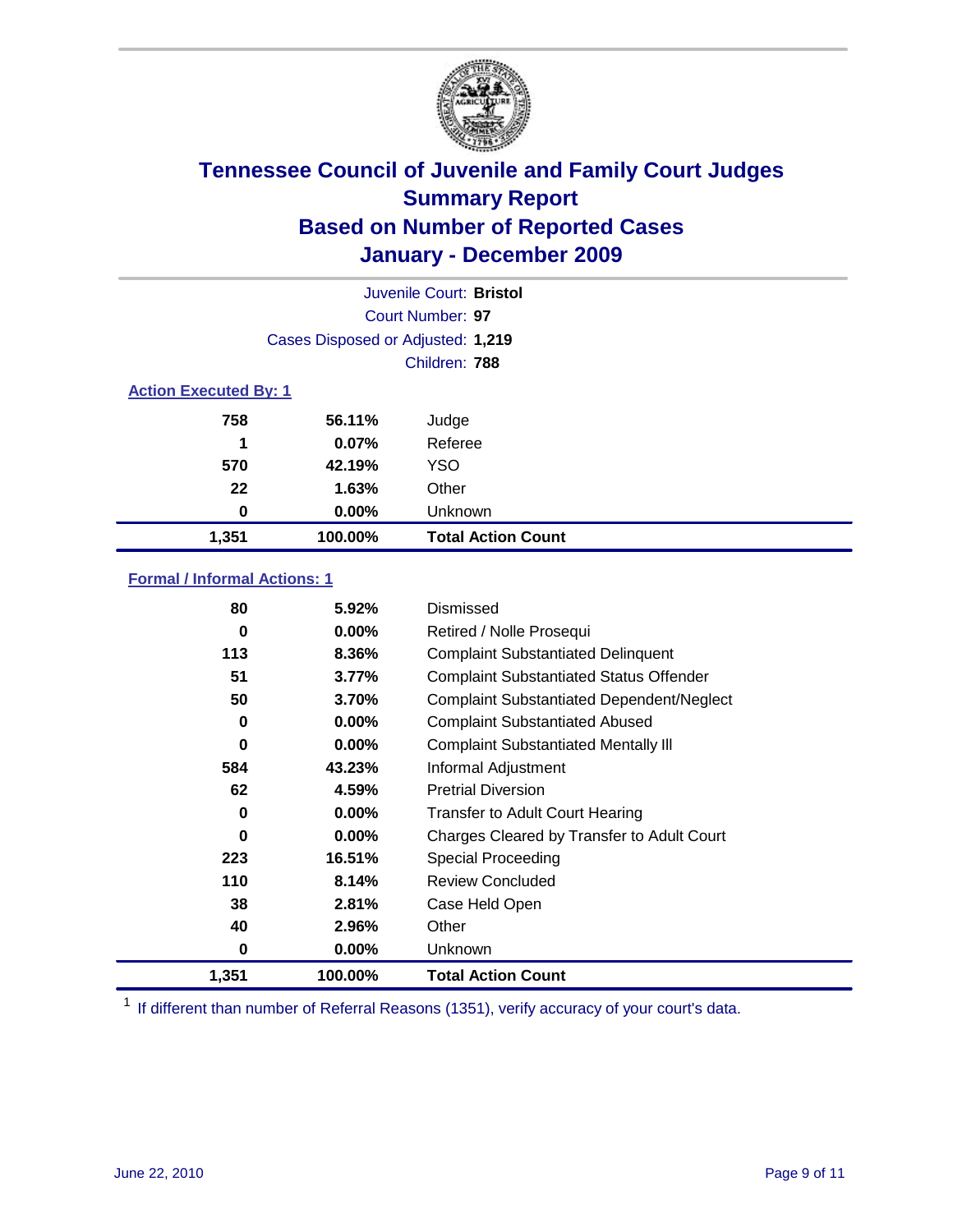

|                              | Juvenile Court: Bristol           |                           |  |  |  |
|------------------------------|-----------------------------------|---------------------------|--|--|--|
|                              | Court Number: 97                  |                           |  |  |  |
|                              | Cases Disposed or Adjusted: 1,219 |                           |  |  |  |
|                              | Children: 788                     |                           |  |  |  |
| <b>Action Executed By: 1</b> |                                   |                           |  |  |  |
| 758                          | 56.11%                            | Judge                     |  |  |  |
| 1                            | 0.07%                             | Referee                   |  |  |  |
| 570                          | 42.19%                            | <b>YSO</b>                |  |  |  |
| 22                           | 1.63%                             | Other                     |  |  |  |
| 0                            | 0.00%                             | Unknown                   |  |  |  |
| 1,351                        | 100.00%                           | <b>Total Action Count</b> |  |  |  |

### **Formal / Informal Actions: 1**

| 1,351    | 100.00%  | <b>Total Action Count</b>                        |
|----------|----------|--------------------------------------------------|
| 0        | $0.00\%$ | <b>Unknown</b>                                   |
| 40       | 2.96%    | Other                                            |
| 38       | 2.81%    | Case Held Open                                   |
| 110      | 8.14%    | <b>Review Concluded</b>                          |
| 223      | 16.51%   | Special Proceeding                               |
| 0        | $0.00\%$ | Charges Cleared by Transfer to Adult Court       |
| 0        | $0.00\%$ | <b>Transfer to Adult Court Hearing</b>           |
| 62       | 4.59%    | <b>Pretrial Diversion</b>                        |
| 584      | 43.23%   | Informal Adjustment                              |
| $\bf{0}$ | $0.00\%$ | <b>Complaint Substantiated Mentally III</b>      |
| 0        | $0.00\%$ | <b>Complaint Substantiated Abused</b>            |
| 50       | 3.70%    | <b>Complaint Substantiated Dependent/Neglect</b> |
| 51       | 3.77%    | <b>Complaint Substantiated Status Offender</b>   |
| 113      | 8.36%    | <b>Complaint Substantiated Delinquent</b>        |
| 0        | $0.00\%$ | Retired / Nolle Prosequi                         |
| 80       | 5.92%    | Dismissed                                        |
|          |          |                                                  |

<sup>1</sup> If different than number of Referral Reasons (1351), verify accuracy of your court's data.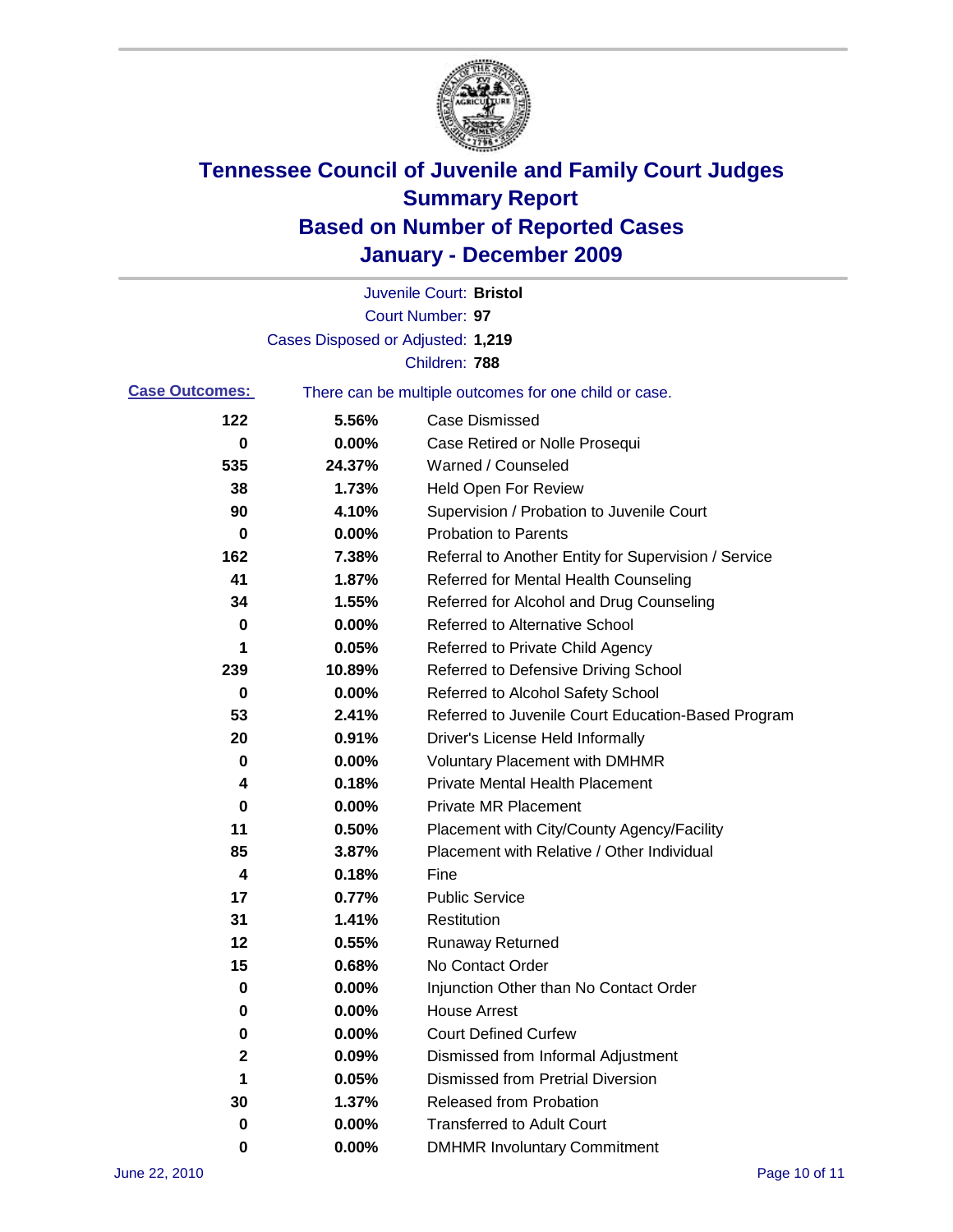

|                       |                                                       | Juvenile Court: Bristol                              |
|-----------------------|-------------------------------------------------------|------------------------------------------------------|
|                       |                                                       | Court Number: 97                                     |
|                       | Cases Disposed or Adjusted: 1,219                     |                                                      |
|                       |                                                       | Children: 788                                        |
| <b>Case Outcomes:</b> | There can be multiple outcomes for one child or case. |                                                      |
| 122                   | 5.56%                                                 | <b>Case Dismissed</b>                                |
| $\pmb{0}$             | 0.00%                                                 | Case Retired or Nolle Prosequi                       |
| 535                   | 24.37%                                                | Warned / Counseled                                   |
| 38                    | 1.73%                                                 | <b>Held Open For Review</b>                          |
| 90                    | 4.10%                                                 | Supervision / Probation to Juvenile Court            |
| 0                     | 0.00%                                                 | <b>Probation to Parents</b>                          |
| 162                   | 7.38%                                                 | Referral to Another Entity for Supervision / Service |
| 41                    | 1.87%                                                 | Referred for Mental Health Counseling                |
| 34                    | 1.55%                                                 | Referred for Alcohol and Drug Counseling             |
| 0                     | 0.00%                                                 | <b>Referred to Alternative School</b>                |
| 1                     | 0.05%                                                 | Referred to Private Child Agency                     |
| 239                   | 10.89%                                                | Referred to Defensive Driving School                 |
| 0                     | 0.00%                                                 | Referred to Alcohol Safety School                    |
| 53                    | 2.41%                                                 | Referred to Juvenile Court Education-Based Program   |
| 20                    | 0.91%                                                 | Driver's License Held Informally                     |
| 0                     | 0.00%                                                 | <b>Voluntary Placement with DMHMR</b>                |
| 4                     | 0.18%                                                 | <b>Private Mental Health Placement</b>               |
| 0                     | 0.00%                                                 | <b>Private MR Placement</b>                          |
| 11                    | 0.50%                                                 | Placement with City/County Agency/Facility           |
| 85                    | 3.87%                                                 | Placement with Relative / Other Individual           |
| 4                     | 0.18%                                                 | Fine                                                 |
| 17                    | 0.77%                                                 | <b>Public Service</b>                                |
| 31                    | 1.41%                                                 | Restitution                                          |
| 12                    | 0.55%                                                 | <b>Runaway Returned</b>                              |
| 15                    | 0.68%                                                 | No Contact Order                                     |
| 0                     | 0.00%                                                 | Injunction Other than No Contact Order               |
| 0                     | 0.00%                                                 | <b>House Arrest</b>                                  |
| 0                     | 0.00%                                                 | <b>Court Defined Curfew</b>                          |
| 2                     | 0.09%                                                 | Dismissed from Informal Adjustment                   |
| 1                     | 0.05%                                                 | <b>Dismissed from Pretrial Diversion</b>             |
| 30                    | 1.37%                                                 | <b>Released from Probation</b>                       |
| 0                     | 0.00%                                                 | <b>Transferred to Adult Court</b>                    |
| 0                     | $0.00\%$                                              | <b>DMHMR Involuntary Commitment</b>                  |